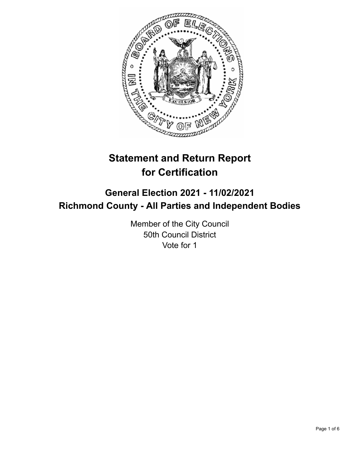

# **Statement and Return Report for Certification**

## **General Election 2021 - 11/02/2021 Richmond County - All Parties and Independent Bodies**

Member of the City Council 50th Council District Vote for 1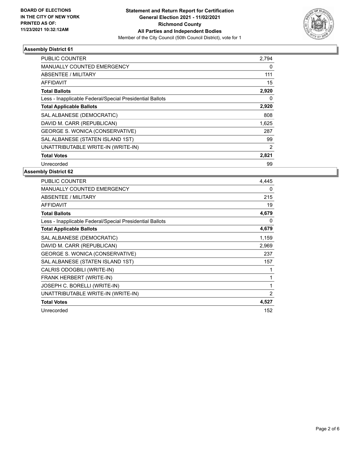

### **Assembly District 61**

| <b>PUBLIC COUNTER</b>                                    | 2,794 |
|----------------------------------------------------------|-------|
| MANUALLY COUNTED EMERGENCY                               | 0     |
| <b>ABSENTEE / MILITARY</b>                               | 111   |
| AFFIDAVIT                                                | 15    |
| <b>Total Ballots</b>                                     | 2,920 |
| Less - Inapplicable Federal/Special Presidential Ballots | 0     |
| <b>Total Applicable Ballots</b>                          | 2,920 |
| SAL ALBANESE (DEMOCRATIC)                                | 808   |
| DAVID M. CARR (REPUBLICAN)                               | 1,625 |
| GEORGE S. WONICA (CONSERVATIVE)                          | 287   |
| SAL ALBANESE (STATEN ISLAND 1ST)                         | 99    |
| UNATTRIBUTABLE WRITE-IN (WRITE-IN)                       | 2     |
| <b>Total Votes</b>                                       | 2,821 |
| Unrecorded                                               | 99    |

### **Assembly District 62**

| <b>PUBLIC COUNTER</b>                                    | 4,445          |
|----------------------------------------------------------|----------------|
| <b>MANUALLY COUNTED EMERGENCY</b>                        | 0              |
| <b>ABSENTEE / MILITARY</b>                               | 215            |
| <b>AFFIDAVIT</b>                                         | 19             |
| <b>Total Ballots</b>                                     | 4,679          |
| Less - Inapplicable Federal/Special Presidential Ballots | 0              |
| <b>Total Applicable Ballots</b>                          | 4,679          |
| SAL ALBANESE (DEMOCRATIC)                                | 1,159          |
| DAVID M. CARR (REPUBLICAN)                               | 2,969          |
| GEORGE S. WONICA (CONSERVATIVE)                          | 237            |
| SAL ALBANESE (STATEN ISLAND 1ST)                         | 157            |
| CALRIS ODOGBILI (WRITE-IN)                               |                |
| FRANK HERBERT (WRITE-IN)                                 | 1              |
| JOSEPH C. BORELLI (WRITE-IN)                             | 1              |
| UNATTRIBUTABLE WRITE-IN (WRITE-IN)                       | $\overline{2}$ |
| <b>Total Votes</b>                                       | 4,527          |
| Unrecorded                                               | 152            |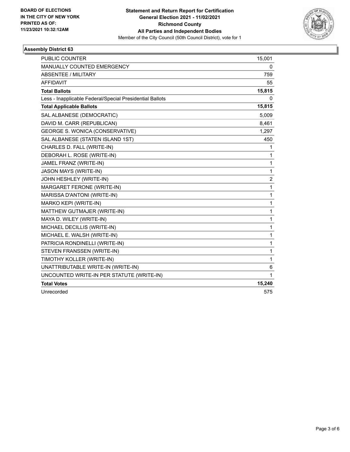

### **Assembly District 63**

| <b>PUBLIC COUNTER</b>                                    | 15,001         |
|----------------------------------------------------------|----------------|
| <b>MANUALLY COUNTED EMERGENCY</b>                        | 0              |
| <b>ABSENTEE / MILITARY</b>                               | 759            |
| <b>AFFIDAVIT</b>                                         | 55             |
| <b>Total Ballots</b>                                     | 15,815         |
| Less - Inapplicable Federal/Special Presidential Ballots | 0              |
| <b>Total Applicable Ballots</b>                          | 15,815         |
| SAL ALBANESE (DEMOCRATIC)                                | 5,009          |
| DAVID M. CARR (REPUBLICAN)                               | 8,461          |
| GEORGE S. WONICA (CONSERVATIVE)                          | 1,297          |
| SAL ALBANESE (STATEN ISLAND 1ST)                         | 450            |
| CHARLES D. FALL (WRITE-IN)                               | 1              |
| DEBORAH L. ROSE (WRITE-IN)                               | 1              |
| JAMEL FRANZ (WRITE-IN)                                   | 1              |
| <b>JASON MAYS (WRITE-IN)</b>                             | 1              |
| JOHN HESHLEY (WRITE-IN)                                  | $\overline{c}$ |
| MARGARET FERONE (WRITE-IN)                               | 1              |
| MARISSA D'ANTONI (WRITE-IN)                              | 1              |
| MARKO KEPI (WRITE-IN)                                    | 1              |
| MATTHEW GUTMAJER (WRITE-IN)                              | 1              |
| MAYA D. WILEY (WRITE-IN)                                 | $\mathbf{1}$   |
| MICHAEL DECILLIS (WRITE-IN)                              | 1              |
| MICHAEL E. WALSH (WRITE-IN)                              | 1              |
| PATRICIA RONDINELLI (WRITE-IN)                           | 1              |
| STEVEN FRANSSEN (WRITE-IN)                               | 1              |
| TIMOTHY KOLLER (WRITE-IN)                                | 1              |
| UNATTRIBUTABLE WRITE-IN (WRITE-IN)                       | 6              |
| UNCOUNTED WRITE-IN PER STATUTE (WRITE-IN)                | 1              |
| <b>Total Votes</b>                                       | 15,240         |
| Unrecorded                                               | 575            |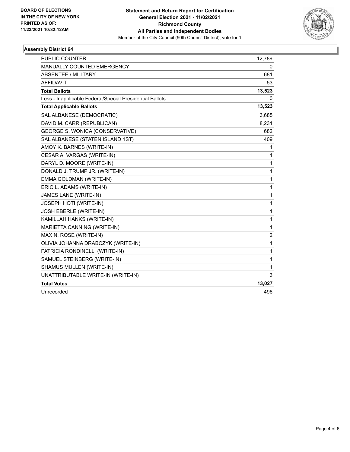

### **Assembly District 64**

| <b>PUBLIC COUNTER</b>                                    | 12,789         |
|----------------------------------------------------------|----------------|
| <b>MANUALLY COUNTED EMERGENCY</b>                        | 0              |
| <b>ABSENTEE / MILITARY</b>                               | 681            |
| <b>AFFIDAVIT</b>                                         | 53             |
| <b>Total Ballots</b>                                     | 13,523         |
| Less - Inapplicable Federal/Special Presidential Ballots | 0              |
| <b>Total Applicable Ballots</b>                          | 13,523         |
| SAL ALBANESE (DEMOCRATIC)                                | 3,685          |
| DAVID M. CARR (REPUBLICAN)                               | 8,231          |
| GEORGE S. WONICA (CONSERVATIVE)                          | 682            |
| SAL ALBANESE (STATEN ISLAND 1ST)                         | 409            |
| AMOY K. BARNES (WRITE-IN)                                | 1              |
| CESAR A. VARGAS (WRITE-IN)                               | 1              |
| DARYL D. MOORE (WRITE-IN)                                | 1              |
| DONALD J. TRUMP JR. (WRITE-IN)                           | 1              |
| EMMA GOLDMAN (WRITE-IN)                                  | 1              |
| ERIC L. ADAMS (WRITE-IN)                                 | $\mathbf{1}$   |
| JAMES LANE (WRITE-IN)                                    | 1              |
| JOSEPH HOTI (WRITE-IN)                                   | 1              |
| JOSH EBERLE (WRITE-IN)                                   | 1              |
| KAMILLAH HANKS (WRITE-IN)                                | 1              |
| MARIETTA CANNING (WRITE-IN)                              | 1              |
| MAX N. ROSE (WRITE-IN)                                   | $\overline{c}$ |
| OLIVIA JOHANNA DRABCZYK (WRITE-IN)                       | 1              |
| PATRICIA RONDINELLI (WRITE-IN)                           | 1              |
| SAMUEL STEINBERG (WRITE-IN)                              | 1              |
| SHAMUS MULLEN (WRITE-IN)                                 | 1              |
| UNATTRIBUTABLE WRITE-IN (WRITE-IN)                       | 3              |
| <b>Total Votes</b>                                       | 13,027         |
| Unrecorded                                               | 496            |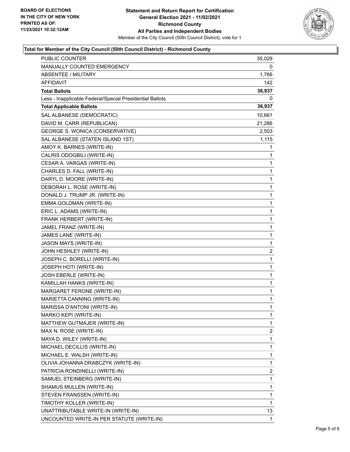

### **Total for Member of the City Council (50th Council District) - Richmond County**

| <b>PUBLIC COUNTER</b>                                    | 35,029       |  |
|----------------------------------------------------------|--------------|--|
| MANUALLY COUNTED EMERGENCY                               |              |  |
| <b>ABSENTEE / MILITARY</b>                               | 1,766        |  |
| AFFIDAVIT                                                | 142          |  |
| <b>Total Ballots</b>                                     | 36,937       |  |
| Less - Inapplicable Federal/Special Presidential Ballots | 0            |  |
| <b>Total Applicable Ballots</b>                          | 36,937       |  |
| SAL ALBANESE (DEMOCRATIC)                                | 10,661       |  |
| DAVID M. CARR (REPUBLICAN)                               | 21,286       |  |
| GEORGE S. WONICA (CONSERVATIVE)                          | 2,503        |  |
| SAL ALBANESE (STATEN ISLAND 1ST)                         | 1,115        |  |
| AMOY K. BARNES (WRITE-IN)                                | 1            |  |
| CALRIS ODOGBILI (WRITE-IN)                               | 1            |  |
| CESAR A. VARGAS (WRITE-IN)                               | 1            |  |
| CHARLES D. FALL (WRITE-IN)                               | 1            |  |
| DARYL D. MOORE (WRITE-IN)                                | 1            |  |
| DEBORAH L. ROSE (WRITE-IN)                               | 1            |  |
| DONALD J. TRUMP JR. (WRITE-IN)                           | 1            |  |
| EMMA GOLDMAN (WRITE-IN)                                  | 1            |  |
| ERIC L. ADAMS (WRITE-IN)                                 | 1            |  |
| FRANK HERBERT (WRITE-IN)                                 | 1            |  |
| JAMEL FRANZ (WRITE-IN)                                   | 1            |  |
| JAMES LANE (WRITE-IN)                                    | 1            |  |
| JASON MAYS (WRITE-IN)                                    | 1            |  |
| JOHN HESHLEY (WRITE-IN)                                  | 2            |  |
| JOSEPH C. BORELLI (WRITE-IN)                             | 1            |  |
| JOSEPH HOTI (WRITE-IN)                                   | 1            |  |
| JOSH EBERLE (WRITE-IN)                                   | 1            |  |
| KAMILLAH HANKS (WRITE-IN)                                | 1            |  |
| MARGARET FERONE (WRITE-IN)                               | 1            |  |
| MARIETTA CANNING (WRITE-IN)                              | 1            |  |
| MARISSA D'ANTONI (WRITE-IN)                              | 1            |  |
| MARKO KEPI (WRITE-IN)                                    | 1            |  |
| MATTHEW GUTMAJER (WRITE-IN)                              | 1            |  |
| MAX N. ROSE (WRITE-IN)                                   | 2            |  |
| MAYA D. WILEY (WRITE-IN)                                 | 1            |  |
| MICHAEL DECILLIS (WRITE-IN)                              | $\mathbf{1}$ |  |
| MICHAEL E. WALSH (WRITE-IN)                              | 1            |  |
| OLIVIA JOHANNA DRABCZYK (WRITE-IN)                       | 1            |  |
| PATRICIA RONDINELLI (WRITE-IN)                           | 2            |  |
| SAMUEL STEINBERG (WRITE-IN)                              | 1            |  |
| SHAMUS MULLEN (WRITE-IN)                                 | 1            |  |
| STEVEN FRANSSEN (WRITE-IN)                               | 1            |  |
| TIMOTHY KOLLER (WRITE-IN)                                | 1            |  |
| UNATTRIBUTABLE WRITE-IN (WRITE-IN)                       | 13.          |  |
| UNCOUNTED WRITE-IN PER STATUTE (WRITE-IN)                | 1            |  |